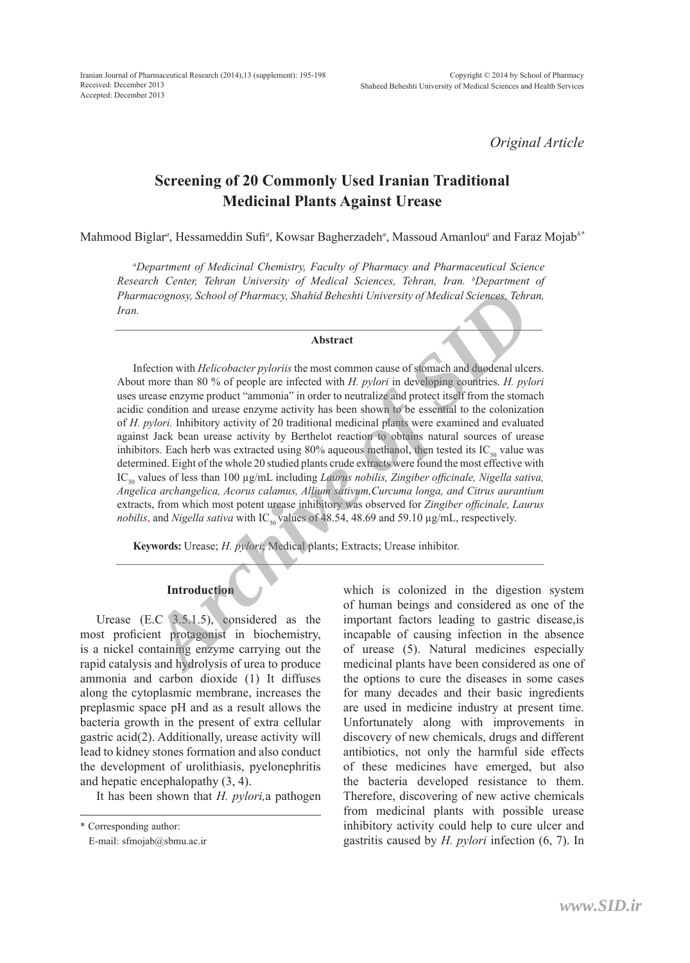*Original Article*

# **Screening of 20 Commonly Used Iranian Traditional Medicinal Plants Against Urease**

Mahmood Biglar*<sup>a</sup>* , Hessameddin Sufi*<sup>a</sup>* , Kowsar Bagherzadeh*<sup>a</sup>* , Massoud Amanlou*<sup>a</sup>* and Faraz Mojab*b\**

*a Department of Medicinal Chemistry, Faculty of Pharmacy and Pharmaceutical Science Research Center, Tehran University of Medical Sciences, Tehran, Iran. b Department of Pharmacognosy, School of Pharmacy, Shahid Beheshti University of Medical Sciences, Tehran, Iran.*

#### **Abstract**

Infection with *Helicobacter pyloriis* the most common cause of stomach and duodenal ulcers. About more than 80 % of people are infected with *H. pylori* in developing countries. *H. pylori*  uses urease enzyme product "ammonia" in order to neutralize and protect itself from the stomach acidic condition and urease enzyme activity has been shown to be essential to the colonization of *H. pylori.* Inhibitory activity of 20 traditional medicinal plants were examined and evaluated against Jack bean urease activity by Berthelot reaction to obtains natural sources of urease inhibitors. Each herb was extracted using 80% aqueous methanol, then tested its  $IC_{\epsilon_0}$  value was determined. Eight of the whole 20 studied plants crude extracts were found the most effective with IC<sub>50</sub> values of less than 100 μg/mL including *Laurus nobilis, Zingiber officinale, Nigella sativa, Angelica archangelica, Acorus calamus, Allium sativum,Curcuma longa, and Citrus aurantium*  extracts, from which most potent urease inhibitory was observed for *Zingiber officinale, Laurus nobilis*, and *Nigella sativa* with IC<sub>50</sub> values of 48.54, 48.69 and 59.10 µg/mL, respectively. *Archive of Pharmacy, Shahid Beheshti University of Medical Sciences, Tehn*<br> **Abstract**<br> **Abstract**<br> **Abstract**<br> **Abstract**<br> **Abstract**<br> **Abstract**<br> **Abstract**<br> **Abstract**<br> **Abstract**<br> **Abstract**<br> **Abstract**<br> **Abstract**<br>

**Keywords:** Urease; *H. pylori*; Medical plants; Extracts; Urease inhibitor.

## **Introduction**

Urease (E.C 3.5.1.5), considered as the most proficient protagonist in biochemistry, is a nickel containing enzyme carrying out the rapid catalysis and hydrolysis of urea to produce ammonia and carbon dioxide (1) It diffuses along the cytoplasmic membrane, increases the preplasmic space pH and as a result allows the bacteria growth in the present of extra cellular gastric acid(2). Additionally, urease activity will lead to kidney stones formation and also conduct the development of urolithiasis, pyelonephritis and hepatic encephalopathy (3, 4).

It has been shown that *H. pylori,*a pathogen

which is colonized in the digestion system of human beings and considered as one of the important factors leading to gastric disease,is incapable of causing infection in the absence of urease (5). Natural medicines especially medicinal plants have been considered as one of the options to cure the diseases in some cases for many decades and their basic ingredients are used in medicine industry at present time. Unfortunately along with improvements in discovery of new chemicals, drugs and different antibiotics, not only the harmful side effects of these medicines have emerged, but also the bacteria developed resistance to them. Therefore, discovering of new active chemicals from medicinal plants with possible urease inhibitory activity could help to cure ulcer and gastritis caused by *H. pylori* infection (6, 7). In

<sup>\*</sup> Corresponding author:

E-mail: sfmojab@sbmu.ac.ir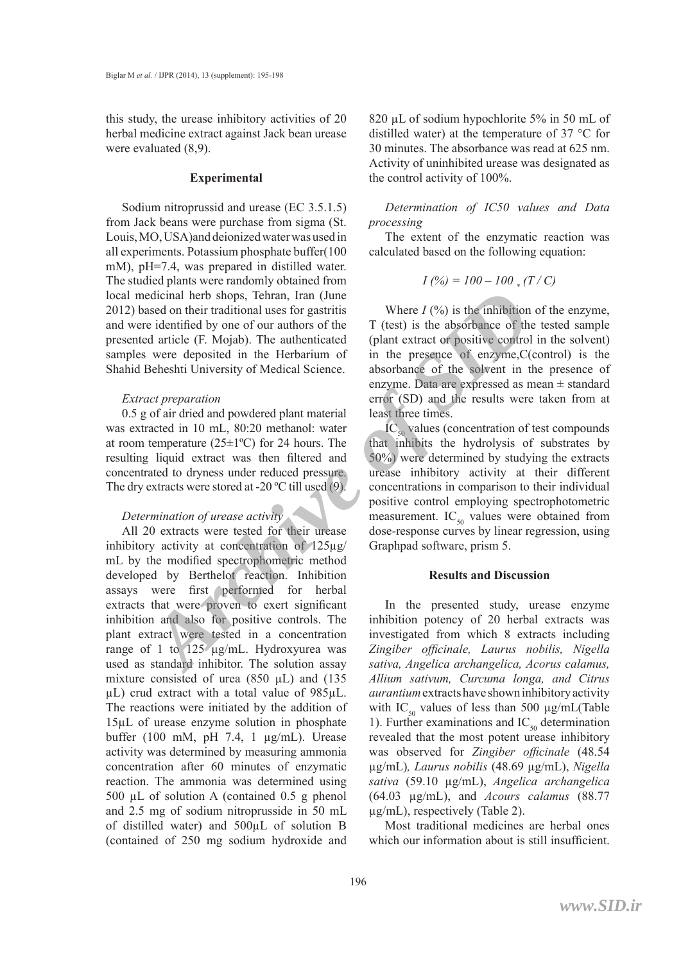this study, the urease inhibitory activities of 20 herbal medicine extract against Jack bean urease were evaluated (8,9).

#### **Experimental**

Sodium nitroprussid and urease (EC 3.5.1.5) from Jack beans were purchase from sigma (St. Louis, MO, USA)and deionized water was used in all experiments. Potassium phosphate buffer(100 mM), pH=7.4, was prepared in distilled water. The studied plants were randomly obtained from local medicinal herb shops, Tehran, Iran (June 2012) based on their traditional uses for gastritis and were identified by one of our authors of the presented article (F. Mojab). The authenticated samples were deposited in the Herbarium of Shahid Beheshti University of Medical Science.

#### *Extract preparation*

0.5 g of air dried and powdered plant material was extracted in 10 mL, 80:20 methanol: water at room temperature  $(25\pm1$ <sup>o</sup>C) for 24 hours. The resulting liquid extract was then filtered and concentrated to dryness under reduced pressure. The dry extracts were stored at -20 ºC till used (9).

#### *Determination of urease activity*

All 20 extracts were tested for their urease inhibitory activity at concentration of 125µg/ mL by the modified spectrophometric method developed by Berthelot reaction. Inhibition assays were first performed for herbal extracts that were proven to exert significant inhibition and also for positive controls. The plant extract were tested in a concentration range of 1 to 125 µg/mL. Hydroxyurea was used as standard inhibitor. The solution assay mixture consisted of urea (850  $\mu$ L) and (135 µL) crud extract with a total value of 985µL. The reactions were initiated by the addition of 15µL of urease enzyme solution in phosphate buffer (100 mM, pH 7.4, 1 µg/mL). Urease activity was determined by measuring ammonia concentration after 60 minutes of enzymatic reaction. The ammonia was determined using 500 µL of solution A (contained 0.5 g phenol and 2.5 mg of sodium nitroprusside in 50 mL of distilled water) and 500µL of solution B (contained of 250 mg sodium hydroxide and edicinal herb shops, Tehran, Iran (June<br>
archivend uses for gastritis<br>
are domitied by one of our authors of the<br>
re identified by one of our authors of the<br>
darticle (F. Mojab). The authenticated (plant extract or positi

820 µL of sodium hypochlorite 5% in 50 mL of distilled water) at the temperature of 37 °C for 30 minutes. The absorbance was read at 625 nm. Activity of uninhibited urease was designated as the control activity of 100%.

*Determination of IC50 values and Data processing*

The extent of the enzymatic reaction was calculated based on the following equation:

$$
I(%) = 100 - 100 \cdot (T/C)
$$

Where  $I$   $\left(\frac{9}{0}\right)$  is the inhibition of the enzyme, T (test) is the absorbance of the tested sample (plant extract or positive control in the solvent) in the presence of enzyme,C(control) is the absorbance of the solvent in the presence of enzyme. Data are expressed as mean ± standard error (SD) and the results were taken from at least three times.

 $IC_{50}$  values (concentration of test compounds that inhibits the hydrolysis of substrates by 50%) were determined by studying the extracts urease inhibitory activity at their different concentrations in comparison to their individual positive control employing spectrophotometric measurement.  $IC_{50}$  values were obtained from dose-response curves by linear regression, using Graphpad software, prism 5.

### **Results and Discussion**

In the presented study, urease enzyme inhibition potency of 20 herbal extracts was investigated from which 8 extracts including *Zingiber officinale, Laurus nobilis, Nigella sativa, Angelica archangelica, Acorus calamus, Allium sativum, Curcuma longa, and Citrus aurantium* extracts have shown inhibitory activity with IC<sub>50</sub> values of less than 500  $\mu$ g/mL(Table 1). Further examinations and  $IC_{50}$  determination revealed that the most potent urease inhibitory was observed for *Zingiber officinale* (48.54 µg/mL)*, Laurus nobilis* (48.69 µg/mL), *Nigella sativa* (59.10 µg/mL), *Angelica archangelica* (64.03 µg/mL), and *Acours calamus* (88.77 µg/mL), respectively (Table 2).

Most traditional medicines are herbal ones which our information about is still insufficient.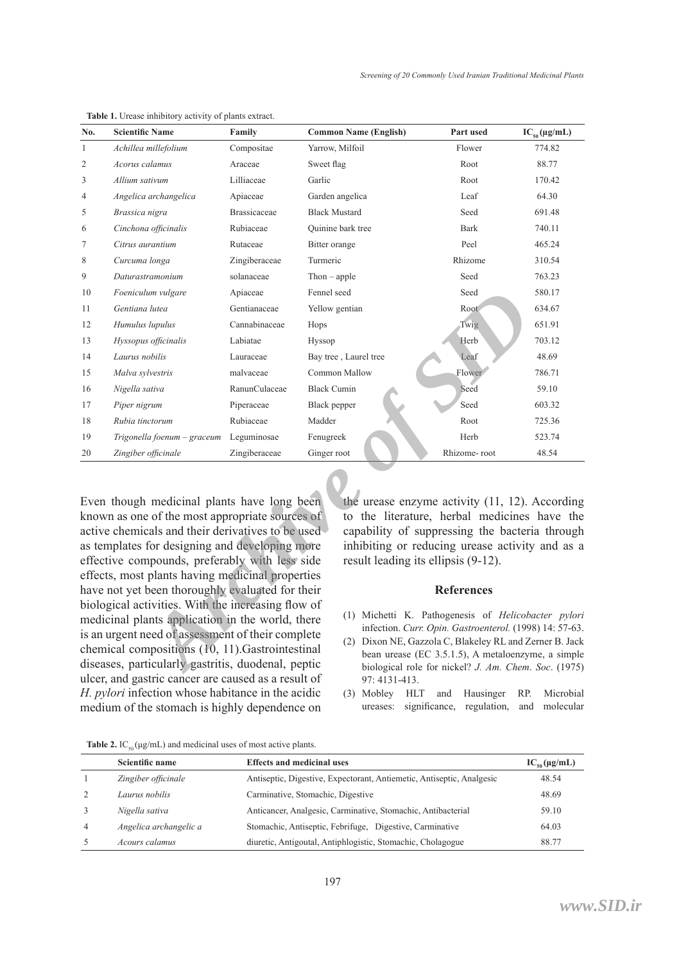| No.                                                                                                                                                                                                    | <b>Scientific Name</b>                           | Family              | <b>Common Name (English)</b> | Part used                                      | $IC_{50}(\mu g/mL)$ |  |  |
|--------------------------------------------------------------------------------------------------------------------------------------------------------------------------------------------------------|--------------------------------------------------|---------------------|------------------------------|------------------------------------------------|---------------------|--|--|
| $\mathbf{1}$                                                                                                                                                                                           | Achillea millefolium                             | Compositae          | Yarrow, Milfoil              | Flower                                         | 774.82              |  |  |
| 2                                                                                                                                                                                                      | Acorus calamus                                   | Araceae             | Sweet flag                   | Root                                           | 88.77               |  |  |
| 3                                                                                                                                                                                                      | Allium sativum                                   | Lilliaceae          | Garlic                       | Root                                           | 170.42              |  |  |
| 4                                                                                                                                                                                                      | Angelica archangelica                            | Apiaceae            | Garden angelica              | Leaf                                           | 64.30               |  |  |
| 5                                                                                                                                                                                                      | Brassica nigra                                   | <b>Brassicaceae</b> | <b>Black Mustard</b>         | Seed                                           | 691.48              |  |  |
| 6                                                                                                                                                                                                      | Cinchona officinalis                             | Rubiaceae           | Quinine bark tree            | <b>Bark</b>                                    | 740.11              |  |  |
| 7                                                                                                                                                                                                      | Citrus aurantium                                 | Rutaceae            | Bitter orange                | Peel                                           | 465.24              |  |  |
| 8                                                                                                                                                                                                      | Curcuma longa                                    | Zingiberaceae       | Turmeric                     | Rhizome                                        | 310.54              |  |  |
| 9                                                                                                                                                                                                      | Daturastramonium                                 | solanaceae          | $Then - apple$               | Seed                                           | 763.23              |  |  |
| 10                                                                                                                                                                                                     | Foeniculum vulgare                               | Apiaceae            | Fennel seed                  | Seed                                           | 580.17              |  |  |
| 11                                                                                                                                                                                                     | Gentiana lutea                                   | Gentianaceae        | Yellow gentian               | Root                                           | 634.67              |  |  |
| 12                                                                                                                                                                                                     | Humulus lupulus                                  | Cannabinaceae       | Hops                         | Twig                                           | 651.91              |  |  |
| 13                                                                                                                                                                                                     | Hyssopus officinalis                             | Labiatae            | Hyssop                       | Herb                                           | 703.12              |  |  |
| 14                                                                                                                                                                                                     | Laurus nobilis                                   | Lauraceae           | Bay tree, Laurel tree        | Leaf                                           | 48.69               |  |  |
| 15                                                                                                                                                                                                     | Malva sylvestris                                 | malvaceae           | Common Mallow                | Flower                                         | 786.71              |  |  |
| 16                                                                                                                                                                                                     | Nigella sativa                                   | RanunCulaceae       | <b>Black Cumin</b>           | Seed                                           | 59.10               |  |  |
| 17                                                                                                                                                                                                     | Piper nigrum                                     | Piperaceae          | Black pepper                 | Seed                                           | 603.32              |  |  |
| 18                                                                                                                                                                                                     | Rubia tinctorum                                  | Rubiaceae           | Madder                       | Root                                           | 725.36              |  |  |
| 19                                                                                                                                                                                                     | Trigonella foenum – graceum                      | Leguminosae         | Fenugreek                    | Herb                                           | 523.74              |  |  |
| 20                                                                                                                                                                                                     | Zingiber officinale                              | Zingiberaceae       | Ginger root                  | Rhizome-root                                   | 48.54               |  |  |
|                                                                                                                                                                                                        | Even though medicinal plants have long been      |                     |                              | the urease enzyme activity (11, 12). According |                     |  |  |
| to the literature, herbal medicines have the<br>known as one of the most appropriate sources of<br>active chemicals and their derivatives to be used<br>capability of suppressing the bacteria through |                                                  |                     |                              |                                                |                     |  |  |
| as templates for designing and developing more<br>inhibiting or reducing urease activity and as a                                                                                                      |                                                  |                     |                              |                                                |                     |  |  |
| effective compounds, preferably with less side<br>result leading its ellipsis (9-12).                                                                                                                  |                                                  |                     |                              |                                                |                     |  |  |
|                                                                                                                                                                                                        | effects, most plants having medicinal properties |                     |                              |                                                |                     |  |  |
|                                                                                                                                                                                                        | have not yet been thoroughly evaluated for their |                     |                              | <b>References</b>                              |                     |  |  |
| biological activities. With the increasing flow of<br>(1) Michetti K. Pathogenesis of <i>Helicobacter pylori</i>                                                                                       |                                                  |                     |                              |                                                |                     |  |  |
| medicinal plants application in the world, there<br>infection. Curr. Opin. Gastroenterol. (1998) 14: 57-63.                                                                                            |                                                  |                     |                              |                                                |                     |  |  |
| is an urgent need of assessment of their complete<br>(2) Dixon NE, Gazzola C, Blakeley RL and Zerner B. Jack                                                                                           |                                                  |                     |                              |                                                |                     |  |  |
| chemical compositions (10, 11). Gastrointestinal<br>bean urease (EC 3.5.1.5), A metaloenzyme, a simple<br>diseases, particularly gastritis, duodenal, peptic                                           |                                                  |                     |                              |                                                |                     |  |  |
| biological role for nickel? J. Am. Chem. Soc. (1975)                                                                                                                                                   |                                                  |                     |                              |                                                |                     |  |  |

**Table 1.** Urease inhibitory activity of plants extract.

Even though medicinal plants have long been known as one of the most appropriate sources of active chemicals and their derivatives to be used as templates for designing and developing more effective compounds, preferably with less side effects, most plants having medicinal properties have not yet been thoroughly evaluated for their biological activities. With the increasing flow of medicinal plants application in the world, there is an urgent need of assessment of their complete chemical compositions (10, 11).Gastrointestinal diseases, particularly gastritis, duodenal, peptic ulcer, and gastric cancer are caused as a result of *H. pylori* infection whose habitance in the acidic medium of the stomach is highly dependence on

#### **References**

- Michetti K. Pathogenesis of *Helicobacter pylori*  (1) infection. *Curr. Opin. Gastroenterol.* (1998) 14: 57-63.
- Dixon NE, Gazzola C, Blakeley RL and Zerner B. Jack bean urease (EC 3.5.1.5), A metaloenzyme, a simple biological role for nickel? *J. Am. Chem*. *Soc*. (1975) 97: 4131-413.
- (3) Mobley HLT and Hausinger RP. Microbial ureases: significance, regulation, and molecular

|  |  | <b>Table 2.</b> IC <sub>50</sub> ( $\mu$ g/mL) and medicinal uses of most active plants. |
|--|--|------------------------------------------------------------------------------------------|
|--|--|------------------------------------------------------------------------------------------|

|                | Scientific name        | <b>Effects and medicinal uses</b>                                     | $IC_{\epsilon_0}(\mu g/mL)$ |
|----------------|------------------------|-----------------------------------------------------------------------|-----------------------------|
|                | Zingiber officinale    | Antiseptic, Digestive, Expectorant, Antiemetic, Antiseptic, Analgesic | 48.54                       |
|                | Laurus nobilis         | Carminative, Stomachic, Digestive                                     | 48.69                       |
|                | Nigella sativa         | Anticancer, Analgesic, Carminative, Stomachic, Antibacterial          | 59.10                       |
| $\overline{4}$ | Angelica archangelic a | Stomachic, Antiseptic, Febrifuge, Digestive, Carminative              | 64.03                       |
|                | Acours calamus         | diuretic, Antigoutal, Antiphlogistic, Stomachic, Cholagogue           | 88.77                       |